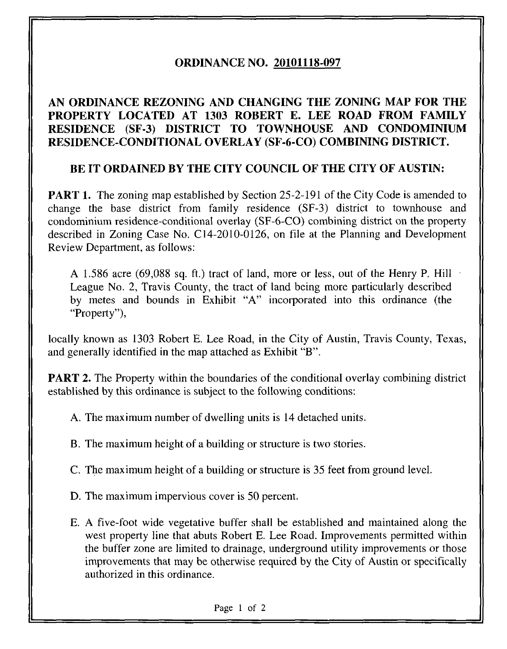## ORDINANCE NO. 20101118-097

## AN ORDINANCE REZONING AND CHANGING THE ZONING MAP FOR THE PROPERTY LOCATED AT 1303 ROBERT E. LEE ROAD FROM FAMILY RESIDENCE (SF-3) DISTRICT TO TOWNHOUSE AND CONDOMINIUM RESIDENCE-CONDITIONAL OVERLAY (SF-6-CO) COMBINING DISTRICT.

### BE IT ORDAINED BY THE CITY COUNCIL OF THE CITY OF AUSTIN:

PART 1. The zoning map established by Section 25-2-191 of the City Code is amended to change the base district from family residence (SF-3) district to townhouse and condominium residence-conditional overlay (SF-6-CO) combining district on the property described in Zoning Case No. C14-2010-0126, on file at the Planning and Development Review Department, as follows:

A 1.586 acre (69,088 sq. ft.) tract of land, more or less, out of the Henry P. Hill League No. 2, Travis County, the tract of land being more particularly described by metes and bounds in Exhibit "A" incorporated into this ordinance (the "Property"),

locally known as 1303 Robert E. Lee Road, in the City of Austin, Travis County, Texas, and generally identified in the map attached as Exhibit "B".

**PART 2.** The Property within the boundaries of the conditional overlay combining district established by this ordinance is subject to the following conditions:

A. The maximum number of dwelling units is 14 detached units.

B. The maximum height of a building or structure is two stories.

C. The maximum height of a building or structure is 35 feet from ground level.

D. The maximum impervious cover is 50 percent.

E. A five-foot wide vegetative buffer shall be established and maintained along the west property line that abuts Robert E. Lee Road. Improvements permitted within the buffer zone are limited to drainage, underground utility improvements or those improvements that may be otherwise required by the City of Austin or specifically authorized in this ordinance.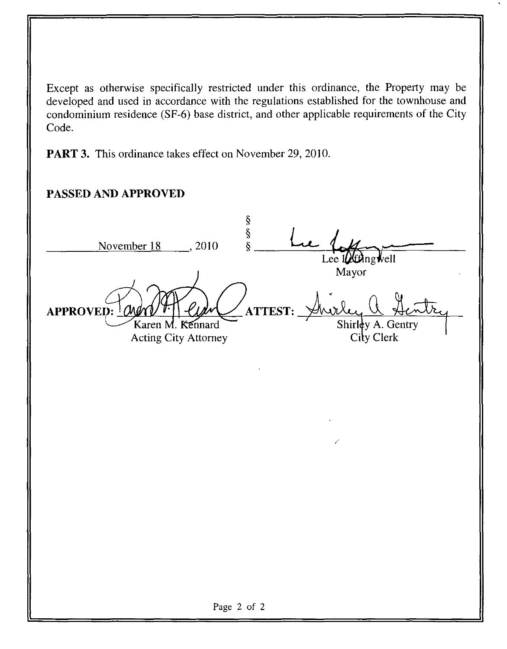Except as otherwise specifically restricted under this ordinance, the Property may be developed and used in accordance with the regulations established for the townhouse and condominium residence (SF-6) base district, and other applicable requirements of the City Code.

**PART 3.** This ordinance takes effect on November 29, 2010.

## **PASSED AND APPROVED**

ş  $\tilde{\S}$ November 18 (2010)  $\hat{\xi}$ Lee I $\mu$ £Ang *v*ell Mayor **APPROVED: ATTEST:** Shirley A. Gentry Karen M. Kennard City Clerk **Acting City Attorney** Page 2 of 2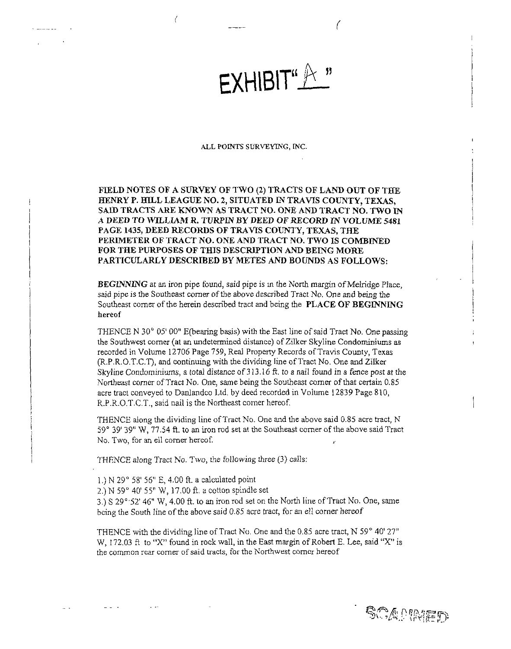# EXHIBIT.  $\mathfrak{u} \not\!\!\!\downarrow \times \mathfrak{v}$

#### ALL POINTS SURVEYING, INC.

FIELD NOTES OF A SURVEY OF TWO (2) TRACTS OF LAND OUT OF THE HENRY P. HILL LEAGUE NO. 2, SITUATED IN TRAVIS COUNTY, TEXAS, SAID TRACTS ARE KNOWN AS TRACT NO. ONE AND TRACT NO. TWO IN A DEED TO WILLIAM R. TURPIN BY DEED OF RECORD IN VOLUME 5481 PAGE 1435, DEED RECORDS OF TRAVIS COUNTY, TEXAS, THE PERIMETER OF TRACT NO. ONE AND TRACT NO. TWO IS COMBINED FOR THE PURPOSES OF THIS DESCRIPTION AND BEING MORE PARTICULARLY DESCRIBED BY METES AND BOUNDS AS FOLLOWS:

BEGINNING at an iron pipe found, said pipe is in the North margin of Melridge Place, said pipe is the Southeast comer of the above described Tract No. One and being the Southeast corner of the herein described tract and being the PLACE OF BEGINNING hereof

THENCE N 30° 05' 00" E(bearing basis) with the East line of said Tract No. One passing the Southwest comer (at an undetermined distance) of Zilker Skyline Condominiums as recorded in Volume 12706 Page 759, Real Property Records of Travis County, Texas (R.P.R.O.T.C.T), and continuing with the dividing line of Tract No. One and Zilker Skyline Condominiums, a total distance of 313.16 ft. to a nail found in a fence post at the Northeast corner of Tract No. One, same being the Southeast comer of that certain 0.85 acre tract conveyed to DanJandco Ltd. by deed recorded in Volume 12839 Page 810, R.P.R.O.T.C.T,, said nail is the Northeast comer hereof.

THENCE along the dividing line of Tract No. One and the above said 0.85 acre tract, N 59° 39' 39" "W, 77.54 ft. to an iron rod set at the Southeast corner of the above said Tract No. Two, for an ell corner hereof.

THENCE along Tract No. Two, the following three (3) calls:

- 1.) N 29° 58' 56" E, 4,00 ft. a calculated point
- 2.) N 59° 40' 55" W, 17.00 ft, a cotton spindle set

3.)S 29°'52'46" W, 4.00 ft. to an iron rod set on the North line of Tract No. One, same being the South line of the above said 0.85 acre tract, for an ell comer hereof

THENCE with the dividing line of Tract No. One and the 0.85 acre tract, N 59° 40' 27" W, 172.03 ft to "X" found in rock wall, in the East margin of Robert E. Lee, said "X" is the common rear corner of said tracts, for the Northwest comer hereof

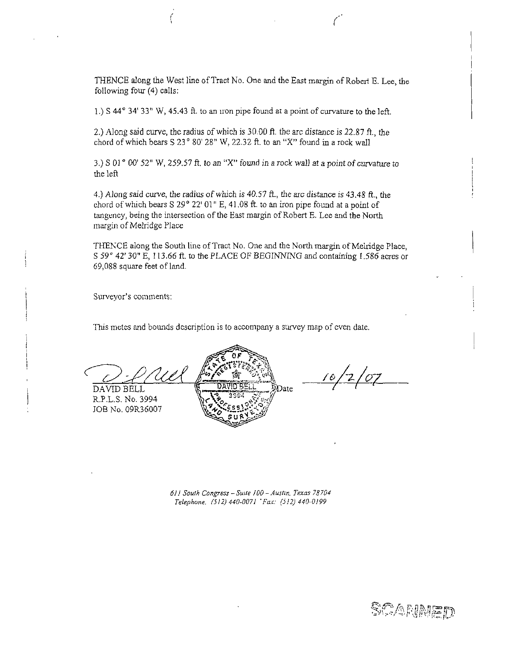THENCE along the West line of Tract No. One and the East margin of Robert E. Lee, the following four (4) calls:

1.) S 44° 34' 33" W, 45.43 ft. to an iron pipe found at a point of curvature to the left.

2.) Along said curve, the radius of which is 30.00 ft. the arc distance is 22.87 ft., the chord of which bears S 23" 80' 28" W, 22.32 ft. to an "X" found in a rock wall

3.) S 01 $^{\circ}$  00' 52" W, 259.57 ft. to an "X" found in a rock wall at a point of curvature to the left

4.) Along said curve, the radius of which is 40.57 ft., the arc distance is 43.48 ft., the chord of which bears S 29° 22' 01" E, 41.08 ft. to an iron pipe found at a point of tangency, being the intersection of the East margin of Robert E. Lee and the North margin of Melridge Place

THENCE along the South line of Tract No. One and the North margin of Melridge Place, S 59° 42' 30" E, 113.66 ft. to the PLACE OF BEGINNING and containing 1.586 acres or 69,088 square feet of land.

Surveyor's comments:

This metes and bounds description is to accompany a survey map of even date.

DAVID BELL

R.P.L.S.No. 3994 JOB No. 09R36007



 $10/2/07$ 

61! South Congress - Suite 100-Austin. Texas 7S704 Telephone. (512)440-0071 'For: (512)440-0199

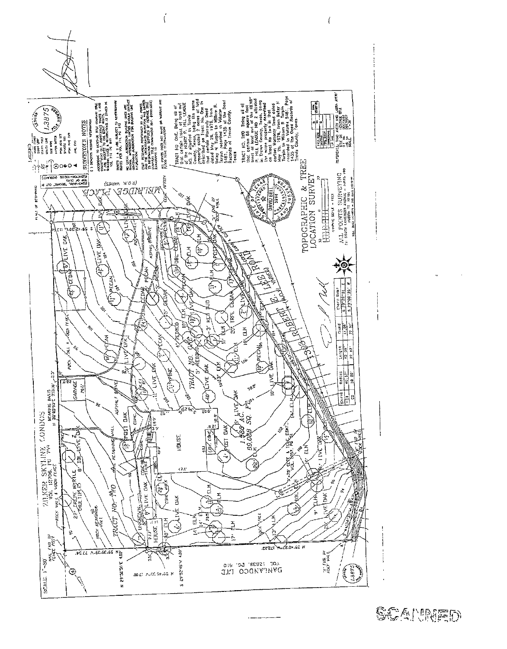



Ć